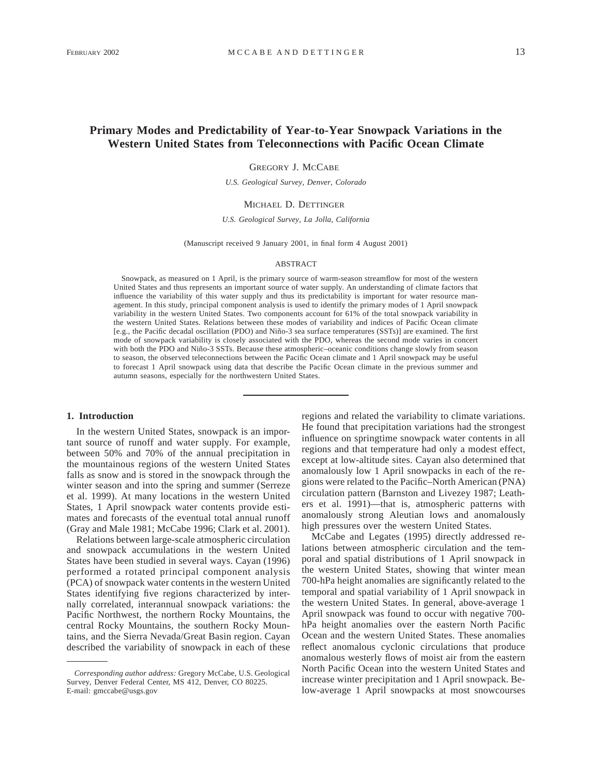# **Primary Modes and Predictability of Year-to-Year Snowpack Variations in the Western United States from Teleconnections with Pacific Ocean Climate**

GREGORY J. MCCABE

*U.S. Geological Survey, Denver, Colorado*

# MICHAEL D. DETTINGER

### *U.S. Geological Survey, La Jolla, California*

(Manuscript received 9 January 2001, in final form 4 August 2001)

### ABSTRACT

Snowpack, as measured on 1 April, is the primary source of warm-season streamflow for most of the western United States and thus represents an important source of water supply. An understanding of climate factors that influence the variability of this water supply and thus its predictability is important for water resource management. In this study, principal component analysis is used to identify the primary modes of 1 April snowpack variability in the western United States. Two components account for 61% of the total snowpack variability in the western United States. Relations between these modes of variability and indices of Pacific Ocean climate [e.g., the Pacific decadal oscillation (PDO) and Niño-3 sea surface temperatures (SSTs)] are examined. The first mode of snowpack variability is closely associated with the PDO, whereas the second mode varies in concert with both the PDO and Niño-3 SSTs. Because these atmospheric–oceanic conditions change slowly from season to season, the observed teleconnections between the Pacific Ocean climate and 1 April snowpack may be useful to forecast 1 April snowpack using data that describe the Pacific Ocean climate in the previous summer and autumn seasons, especially for the northwestern United States.

### **1. Introduction**

In the western United States, snowpack is an important source of runoff and water supply. For example, between 50% and 70% of the annual precipitation in the mountainous regions of the western United States falls as snow and is stored in the snowpack through the winter season and into the spring and summer (Serreze et al. 1999). At many locations in the western United States, 1 April snowpack water contents provide estimates and forecasts of the eventual total annual runoff (Gray and Male 1981; McCabe 1996; Clark et al. 2001).

Relations between large-scale atmospheric circulation and snowpack accumulations in the western United States have been studied in several ways. Cayan (1996) performed a rotated principal component analysis (PCA) of snowpack water contents in the western United States identifying five regions characterized by internally correlated, interannual snowpack variations: the Pacific Northwest, the northern Rocky Mountains, the central Rocky Mountains, the southern Rocky Mountains, and the Sierra Nevada/Great Basin region. Cayan described the variability of snowpack in each of these

regions and related the variability to climate variations. He found that precipitation variations had the strongest influence on springtime snowpack water contents in all regions and that temperature had only a modest effect, except at low-altitude sites. Cayan also determined that anomalously low 1 April snowpacks in each of the regions were related to the Pacific–North American (PNA) circulation pattern (Barnston and Livezey 1987; Leathers et al. 1991)—that is, atmospheric patterns with anomalously strong Aleutian lows and anomalously high pressures over the western United States.

McCabe and Legates (1995) directly addressed relations between atmospheric circulation and the temporal and spatial distributions of 1 April snowpack in the western United States, showing that winter mean 700-hPa height anomalies are significantly related to the temporal and spatial variability of 1 April snowpack in the western United States. In general, above-average 1 April snowpack was found to occur with negative 700 hPa height anomalies over the eastern North Pacific Ocean and the western United States. These anomalies reflect anomalous cyclonic circulations that produce anomalous westerly flows of moist air from the eastern North Pacific Ocean into the western United States and increase winter precipitation and 1 April snowpack. Below-average 1 April snowpacks at most snowcourses

*Corresponding author address:* Gregory McCabe, U.S. Geological Survey, Denver Federal Center, MS 412, Denver, CO 80225. E-mail: gmccabe@usgs.gov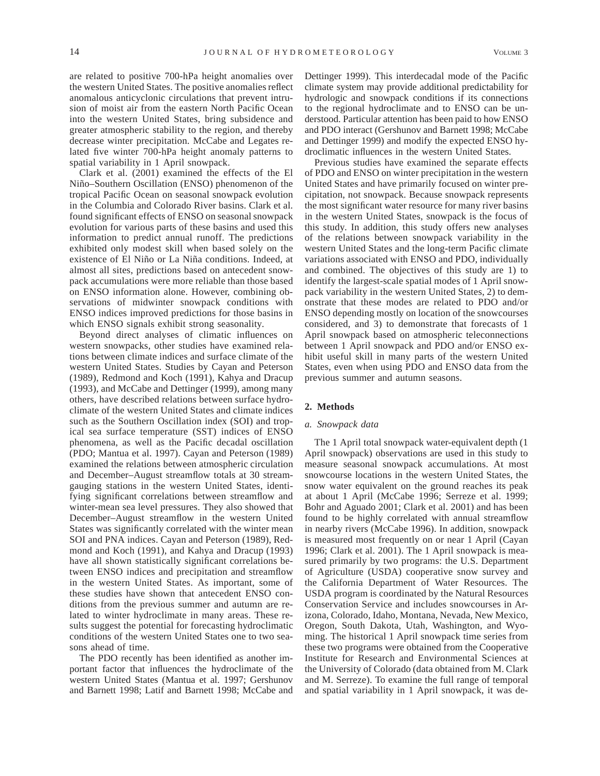are related to positive 700-hPa height anomalies over the western United States. The positive anomalies reflect anomalous anticyclonic circulations that prevent intrusion of moist air from the eastern North Pacific Ocean into the western United States, bring subsidence and greater atmospheric stability to the region, and thereby decrease winter precipitation. McCabe and Legates related five winter 700-hPa height anomaly patterns to spatial variability in 1 April snowpack.

Clark et al. (2001) examined the effects of the El Niño–Southern Oscillation (ENSO) phenomenon of the tropical Pacific Ocean on seasonal snowpack evolution in the Columbia and Colorado River basins. Clark et al. found significant effects of ENSO on seasonal snowpack evolution for various parts of these basins and used this information to predict annual runoff. The predictions exhibited only modest skill when based solely on the existence of El Niño or La Niña conditions. Indeed, at almost all sites, predictions based on antecedent snowpack accumulations were more reliable than those based on ENSO information alone. However, combining observations of midwinter snowpack conditions with ENSO indices improved predictions for those basins in which ENSO signals exhibit strong seasonality.

Beyond direct analyses of climatic influences on western snowpacks, other studies have examined relations between climate indices and surface climate of the western United States. Studies by Cayan and Peterson (1989), Redmond and Koch (1991), Kahya and Dracup (1993), and McCabe and Dettinger (1999), among many others, have described relations between surface hydroclimate of the western United States and climate indices such as the Southern Oscillation index (SOI) and tropical sea surface temperature (SST) indices of ENSO phenomena, as well as the Pacific decadal oscillation (PDO; Mantua et al. 1997). Cayan and Peterson (1989) examined the relations between atmospheric circulation and December–August streamflow totals at 30 streamgauging stations in the western United States, identifying significant correlations between streamflow and winter-mean sea level pressures. They also showed that December–August streamflow in the western United States was significantly correlated with the winter mean SOI and PNA indices. Cayan and Peterson (1989), Redmond and Koch (1991), and Kahya and Dracup (1993) have all shown statistically significant correlations between ENSO indices and precipitation and streamflow in the western United States. As important, some of these studies have shown that antecedent ENSO conditions from the previous summer and autumn are related to winter hydroclimate in many areas. These results suggest the potential for forecasting hydroclimatic conditions of the western United States one to two seasons ahead of time.

The PDO recently has been identified as another important factor that influences the hydroclimate of the western United States (Mantua et al. 1997; Gershunov and Barnett 1998; Latif and Barnett 1998; McCabe and Dettinger 1999). This interdecadal mode of the Pacific climate system may provide additional predictability for hydrologic and snowpack conditions if its connections to the regional hydroclimate and to ENSO can be understood. Particular attention has been paid to how ENSO and PDO interact (Gershunov and Barnett 1998; McCabe and Dettinger 1999) and modify the expected ENSO hydroclimatic influences in the western United States.

Previous studies have examined the separate effects of PDO and ENSO on winter precipitation in the western United States and have primarily focused on winter precipitation, not snowpack. Because snowpack represents the most significant water resource for many river basins in the western United States, snowpack is the focus of this study. In addition, this study offers new analyses of the relations between snowpack variability in the western United States and the long-term Pacific climate variations associated with ENSO and PDO, individually and combined. The objectives of this study are 1) to identify the largest-scale spatial modes of 1 April snowpack variability in the western United States, 2) to demonstrate that these modes are related to PDO and/or ENSO depending mostly on location of the snowcourses considered, and 3) to demonstrate that forecasts of 1 April snowpack based on atmospheric teleconnections between 1 April snowpack and PDO and/or ENSO exhibit useful skill in many parts of the western United States, even when using PDO and ENSO data from the previous summer and autumn seasons.

## **2. Methods**

# *a. Snowpack data*

The 1 April total snowpack water-equivalent depth (1 April snowpack) observations are used in this study to measure seasonal snowpack accumulations. At most snowcourse locations in the western United States, the snow water equivalent on the ground reaches its peak at about 1 April (McCabe 1996; Serreze et al. 1999; Bohr and Aguado 2001; Clark et al. 2001) and has been found to be highly correlated with annual streamflow in nearby rivers (McCabe 1996). In addition, snowpack is measured most frequently on or near 1 April (Cayan 1996; Clark et al. 2001). The 1 April snowpack is measured primarily by two programs: the U.S. Department of Agriculture (USDA) cooperative snow survey and the California Department of Water Resources. The USDA program is coordinated by the Natural Resources Conservation Service and includes snowcourses in Arizona, Colorado, Idaho, Montana, Nevada, New Mexico, Oregon, South Dakota, Utah, Washington, and Wyoming. The historical 1 April snowpack time series from these two programs were obtained from the Cooperative Institute for Research and Environmental Sciences at the University of Colorado (data obtained from M. Clark and M. Serreze). To examine the full range of temporal and spatial variability in 1 April snowpack, it was de-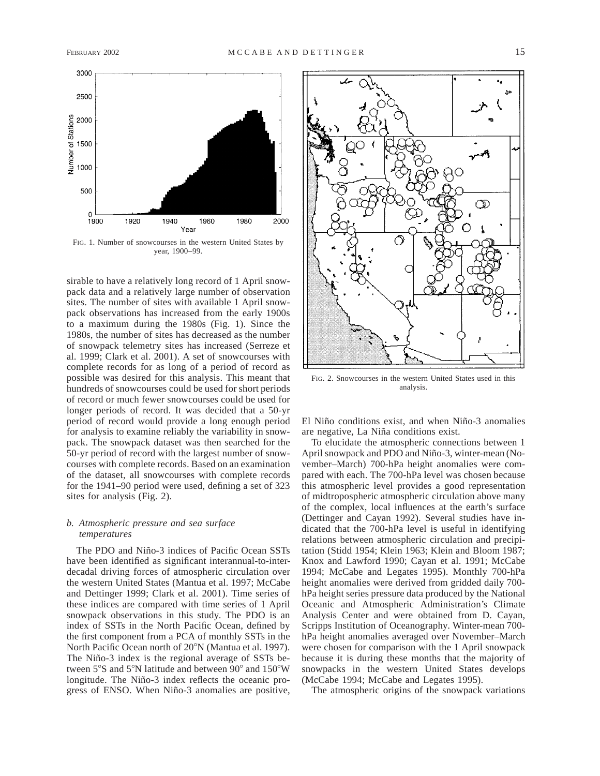

FIG. 1. Number of snowcourses in the western United States by year, 1900–99.

sirable to have a relatively long record of 1 April snowpack data and a relatively large number of observation sites. The number of sites with available 1 April snowpack observations has increased from the early 1900s to a maximum during the 1980s (Fig. 1). Since the 1980s, the number of sites has decreased as the number of snowpack telemetry sites has increased (Serreze et al. 1999; Clark et al. 2001). A set of snowcourses with complete records for as long of a period of record as possible was desired for this analysis. This meant that hundreds of snowcourses could be used for short periods of record or much fewer snowcourses could be used for longer periods of record. It was decided that a 50-yr period of record would provide a long enough period for analysis to examine reliably the variability in snowpack. The snowpack dataset was then searched for the 50-yr period of record with the largest number of snowcourses with complete records. Based on an examination of the dataset, all snowcourses with complete records for the 1941–90 period were used, defining a set of 323 sites for analysis (Fig. 2).

# *b. Atmospheric pressure and sea surface temperatures*

The PDO and Niño-3 indices of Pacific Ocean SSTs have been identified as significant interannual-to-interdecadal driving forces of atmospheric circulation over the western United States (Mantua et al. 1997; McCabe and Dettinger 1999; Clark et al. 2001). Time series of these indices are compared with time series of 1 April snowpack observations in this study. The PDO is an index of SSTs in the North Pacific Ocean, defined by the first component from a PCA of monthly SSTs in the North Pacific Ocean north of 20°N (Mantua et al. 1997). The Niño-3 index is the regional average of SSTs between  $5^{\circ}$ S and  $5^{\circ}$ N latitude and between  $90^{\circ}$  and  $150^{\circ}$ W longitude. The Niño-3 index reflects the oceanic progress of ENSO. When Niño-3 anomalies are positive,



FIG. 2. Snowcourses in the western United States used in this analysis.

El Niño conditions exist, and when Niño-3 anomalies are negative, La Niña conditions exist.

To elucidate the atmospheric connections between 1 April snowpack and PDO and Niño-3, winter-mean (November–March) 700-hPa height anomalies were compared with each. The 700-hPa level was chosen because this atmospheric level provides a good representation of midtropospheric atmospheric circulation above many of the complex, local influences at the earth's surface (Dettinger and Cayan 1992). Several studies have indicated that the 700-hPa level is useful in identifying relations between atmospheric circulation and precipitation (Stidd 1954; Klein 1963; Klein and Bloom 1987; Knox and Lawford 1990; Cayan et al. 1991; McCabe 1994; McCabe and Legates 1995). Monthly 700-hPa height anomalies were derived from gridded daily 700 hPa height series pressure data produced by the National Oceanic and Atmospheric Administration's Climate Analysis Center and were obtained from D. Cayan, Scripps Institution of Oceanography. Winter-mean 700 hPa height anomalies averaged over November–March were chosen for comparison with the 1 April snowpack because it is during these months that the majority of snowpacks in the western United States develops (McCabe 1994; McCabe and Legates 1995).

The atmospheric origins of the snowpack variations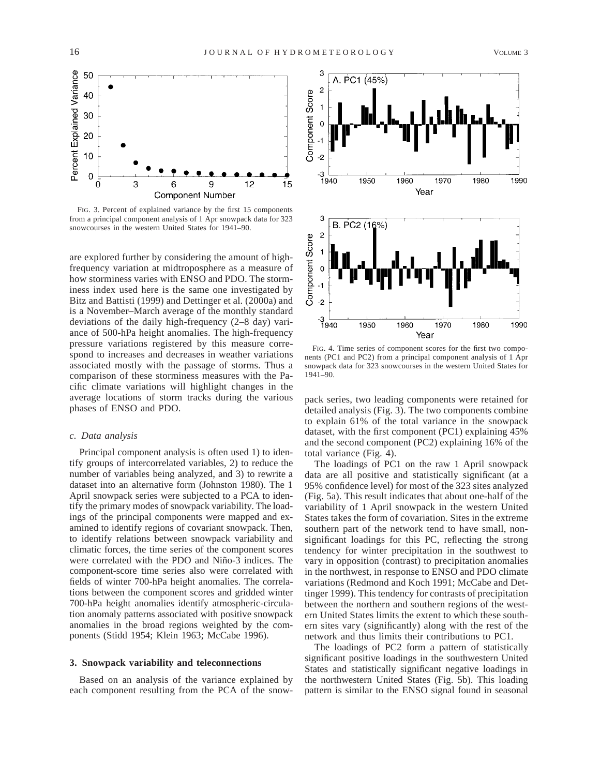

FIG. 3. Percent of explained variance by the first 15 components from a principal component analysis of 1 Apr snowpack data for 323 snowcourses in the western United States for 1941–90.

are explored further by considering the amount of highfrequency variation at midtroposphere as a measure of how storminess varies with ENSO and PDO. The storminess index used here is the same one investigated by Bitz and Battisti (1999) and Dettinger et al. (2000a) and is a November–March average of the monthly standard deviations of the daily high-frequency (2–8 day) variance of 500-hPa height anomalies. The high-frequency pressure variations registered by this measure correspond to increases and decreases in weather variations associated mostly with the passage of storms. Thus a comparison of these storminess measures with the Pacific climate variations will highlight changes in the average locations of storm tracks during the various phases of ENSO and PDO.

# *c. Data analysis*

Principal component analysis is often used 1) to identify groups of intercorrelated variables, 2) to reduce the number of variables being analyzed, and 3) to rewrite a dataset into an alternative form (Johnston 1980). The 1 April snowpack series were subjected to a PCA to identify the primary modes of snowpack variability. The loadings of the principal components were mapped and examined to identify regions of covariant snowpack. Then, to identify relations between snowpack variability and climatic forces, the time series of the component scores were correlated with the PDO and Niño-3 indices. The component-score time series also were correlated with fields of winter 700-hPa height anomalies. The correlations between the component scores and gridded winter 700-hPa height anomalies identify atmospheric-circulation anomaly patterns associated with positive snowpack anomalies in the broad regions weighted by the components (Stidd 1954; Klein 1963; McCabe 1996).

### **3. Snowpack variability and teleconnections**

Based on an analysis of the variance explained by each component resulting from the PCA of the snow-



FIG. 4. Time series of component scores for the first two components (PC1 and PC2) from a principal component analysis of 1 Apr snowpack data for 323 snowcourses in the western United States for 1941–90.

pack series, two leading components were retained for detailed analysis (Fig. 3). The two components combine to explain 61% of the total variance in the snowpack dataset, with the first component (PC1) explaining 45% and the second component (PC2) explaining 16% of the total variance (Fig. 4).

The loadings of PC1 on the raw 1 April snowpack data are all positive and statistically significant (at a 95% confidence level) for most of the 323 sites analyzed (Fig. 5a). This result indicates that about one-half of the variability of 1 April snowpack in the western United States takes the form of covariation. Sites in the extreme southern part of the network tend to have small, nonsignificant loadings for this PC, reflecting the strong tendency for winter precipitation in the southwest to vary in opposition (contrast) to precipitation anomalies in the northwest, in response to ENSO and PDO climate variations (Redmond and Koch 1991; McCabe and Dettinger 1999). This tendency for contrasts of precipitation between the northern and southern regions of the western United States limits the extent to which these southern sites vary (significantly) along with the rest of the network and thus limits their contributions to PC1.

The loadings of PC2 form a pattern of statistically significant positive loadings in the southwestern United States and statistically significant negative loadings in the northwestern United States (Fig. 5b). This loading pattern is similar to the ENSO signal found in seasonal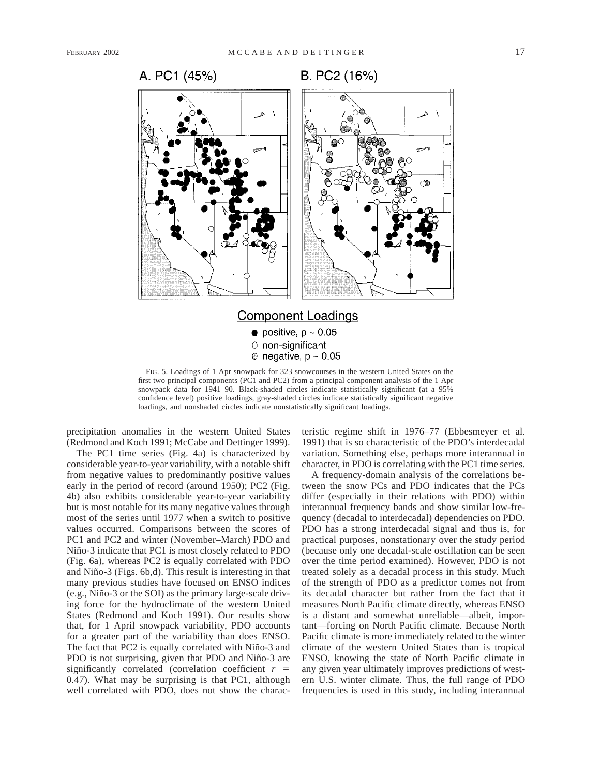

B. PC2 (16%)



FIG. 5. Loadings of 1 Apr snowpack for 323 snowcourses in the western United States on the first two principal components ( $\overrightarrow{PC}1$  and  $\overrightarrow{PC}2$ ) from a principal component analysis of the 1 Apr snowpack data for 1941–90. Black-shaded circles indicate statistically significant (at a 95% confidence level) positive loadings, gray-shaded circles indicate statistically significant negative loadings, and nonshaded circles indicate nonstatistically significant loadings.

precipitation anomalies in the western United States (Redmond and Koch 1991; McCabe and Dettinger 1999).

The PC1 time series (Fig. 4a) is characterized by considerable year-to-year variability, with a notable shift from negative values to predominantly positive values early in the period of record (around 1950); PC2 (Fig. 4b) also exhibits considerable year-to-year variability but is most notable for its many negative values through most of the series until 1977 when a switch to positive values occurred. Comparisons between the scores of PC1 and PC2 and winter (November–March) PDO and Niño-3 indicate that PC1 is most closely related to PDO (Fig. 6a), whereas PC2 is equally correlated with PDO and Niño-3 (Figs. 6b,d). This result is interesting in that many previous studies have focused on ENSO indices (e.g., Niño-3 or the SOI) as the primary large-scale driving force for the hydroclimate of the western United States (Redmond and Koch 1991). Our results show that, for 1 April snowpack variability, PDO accounts for a greater part of the variability than does ENSO. The fact that PC2 is equally correlated with Niño-3 and PDO is not surprising, given that PDO and Niño-3 are significantly correlated (correlation coefficient  $r =$ 0.47). What may be surprising is that PC1, although well correlated with PDO, does not show the characteristic regime shift in 1976–77 (Ebbesmeyer et al. 1991) that is so characteristic of the PDO's interdecadal variation. Something else, perhaps more interannual in character, in PDO is correlating with the PC1 time series.

A frequency-domain analysis of the correlations between the snow PCs and PDO indicates that the PCs differ (especially in their relations with PDO) within interannual frequency bands and show similar low-frequency (decadal to interdecadal) dependencies on PDO. PDO has a strong interdecadal signal and thus is, for practical purposes, nonstationary over the study period (because only one decadal-scale oscillation can be seen over the time period examined). However, PDO is not treated solely as a decadal process in this study. Much of the strength of PDO as a predictor comes not from its decadal character but rather from the fact that it measures North Pacific climate directly, whereas ENSO is a distant and somewhat unreliable—albeit, important—forcing on North Pacific climate. Because North Pacific climate is more immediately related to the winter climate of the western United States than is tropical ENSO, knowing the state of North Pacific climate in any given year ultimately improves predictions of western U.S. winter climate. Thus, the full range of PDO frequencies is used in this study, including interannual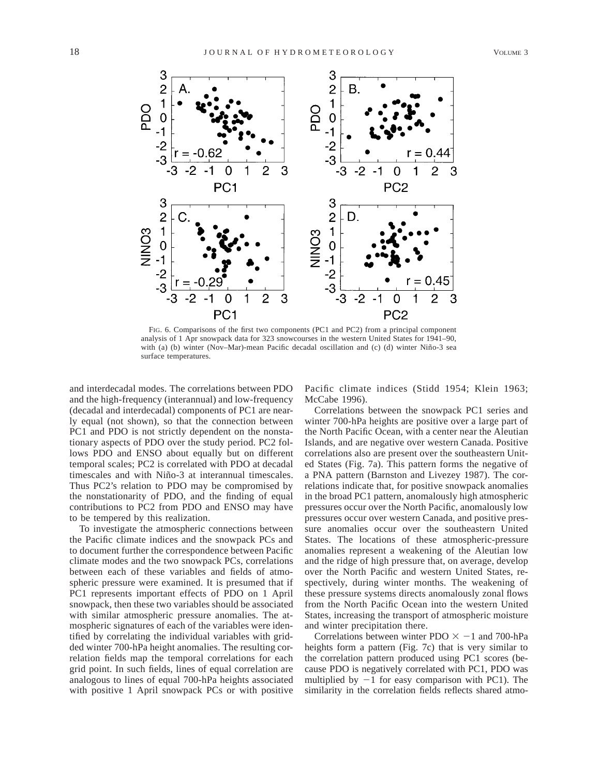

FIG. 6. Comparisons of the first two components (PC1 and PC2) from a principal component analysis of 1 Apr snowpack data for 323 snowcourses in the western United States for 1941–90, with (a) (b) winter (Nov–Mar)-mean Pacific decadal oscillation and (c) (d) winter Niño-3 sea surface temperatures.

and interdecadal modes. The correlations between PDO and the high-frequency (interannual) and low-frequency (decadal and interdecadal) components of PC1 are nearly equal (not shown), so that the connection between PC1 and PDO is not strictly dependent on the nonstationary aspects of PDO over the study period. PC2 follows PDO and ENSO about equally but on different temporal scales; PC2 is correlated with PDO at decadal timescales and with Niño-3 at interannual timescales. Thus PC2's relation to PDO may be compromised by the nonstationarity of PDO, and the finding of equal contributions to PC2 from PDO and ENSO may have to be tempered by this realization.

To investigate the atmospheric connections between the Pacific climate indices and the snowpack PCs and to document further the correspondence between Pacific climate modes and the two snowpack PCs, correlations between each of these variables and fields of atmospheric pressure were examined. It is presumed that if PC1 represents important effects of PDO on 1 April snowpack, then these two variables should be associated with similar atmospheric pressure anomalies. The atmospheric signatures of each of the variables were identified by correlating the individual variables with gridded winter 700-hPa height anomalies. The resulting correlation fields map the temporal correlations for each grid point. In such fields, lines of equal correlation are analogous to lines of equal 700-hPa heights associated with positive 1 April snowpack PCs or with positive Pacific climate indices (Stidd 1954; Klein 1963; McCabe 1996).

Correlations between the snowpack PC1 series and winter 700-hPa heights are positive over a large part of the North Pacific Ocean, with a center near the Aleutian Islands, and are negative over western Canada. Positive correlations also are present over the southeastern United States (Fig. 7a). This pattern forms the negative of a PNA pattern (Barnston and Livezey 1987). The correlations indicate that, for positive snowpack anomalies in the broad PC1 pattern, anomalously high atmospheric pressures occur over the North Pacific, anomalously low pressures occur over western Canada, and positive pressure anomalies occur over the southeastern United States. The locations of these atmospheric-pressure anomalies represent a weakening of the Aleutian low and the ridge of high pressure that, on average, develop over the North Pacific and western United States, respectively, during winter months. The weakening of these pressure systems directs anomalously zonal flows from the North Pacific Ocean into the western United States, increasing the transport of atmospheric moisture and winter precipitation there.

Correlations between winter PDO  $\times$  -1 and 700-hPa heights form a pattern (Fig. 7c) that is very similar to the correlation pattern produced using PC1 scores (because PDO is negatively correlated with PC1, PDO was multiplied by  $-1$  for easy comparison with PC1). The similarity in the correlation fields reflects shared atmo-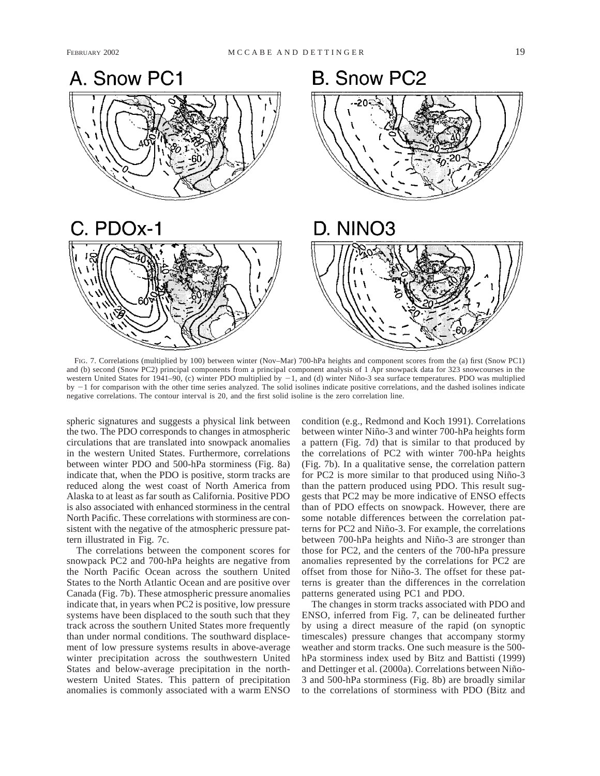# **B. Snow PC2** A. Snow PC1 C. PDOx-1 D. NINO<sub>3</sub>

FIG. 7. Correlations (multiplied by 100) between winter (Nov–Mar) 700-hPa heights and component scores from the (a) first (Snow PC1) and (b) second (Snow PC2) principal components from a principal component analysis of 1 Apr snowpack data for 323 snowcourses in the western United States for 1941–90, (c) winter PDO multiplied by  $-1$ , and (d) winter Niño-3 sea surface temperatures. PDO was multiplied by  $-1$  for comparison with the other time series analyzed. The solid isolines indicate positive correlations, and the dashed isolines indicate negative correlations. The contour interval is 20, and the first solid isoline is the zero correlation line.

spheric signatures and suggests a physical link between the two. The PDO corresponds to changes in atmospheric circulations that are translated into snowpack anomalies in the western United States. Furthermore, correlations between winter PDO and 500-hPa storminess (Fig. 8a) indicate that, when the PDO is positive, storm tracks are reduced along the west coast of North America from Alaska to at least as far south as California. Positive PDO is also associated with enhanced storminess in the central North Pacific. These correlations with storminess are consistent with the negative of the atmospheric pressure pattern illustrated in Fig. 7c.

The correlations between the component scores for snowpack PC2 and 700-hPa heights are negative from the North Pacific Ocean across the southern United States to the North Atlantic Ocean and are positive over Canada (Fig. 7b). These atmospheric pressure anomalies indicate that, in years when PC2 is positive, low pressure systems have been displaced to the south such that they track across the southern United States more frequently than under normal conditions. The southward displacement of low pressure systems results in above-average winter precipitation across the southwestern United States and below-average precipitation in the northwestern United States. This pattern of precipitation anomalies is commonly associated with a warm ENSO

condition (e.g., Redmond and Koch 1991). Correlations between winter Niño-3 and winter 700-hPa heights form a pattern (Fig. 7d) that is similar to that produced by the correlations of PC2 with winter 700-hPa heights (Fig. 7b). In a qualitative sense, the correlation pattern for PC2 is more similar to that produced using Niño-3 than the pattern produced using PDO. This result suggests that PC2 may be more indicative of ENSO effects than of PDO effects on snowpack. However, there are some notable differences between the correlation patterns for PC2 and Niño-3. For example, the correlations between 700-hPa heights and Niño-3 are stronger than those for PC2, and the centers of the 700-hPa pressure anomalies represented by the correlations for PC2 are offset from those for Niño-3. The offset for these patterns is greater than the differences in the correlation patterns generated using PC1 and PDO.

The changes in storm tracks associated with PDO and ENSO, inferred from Fig. 7, can be delineated further by using a direct measure of the rapid (on synoptic timescales) pressure changes that accompany stormy weather and storm tracks. One such measure is the 500 hPa storminess index used by Bitz and Battisti (1999) and Dettinger et al. (2000a). Correlations between Niño-3 and 500-hPa storminess (Fig. 8b) are broadly similar to the correlations of storminess with PDO (Bitz and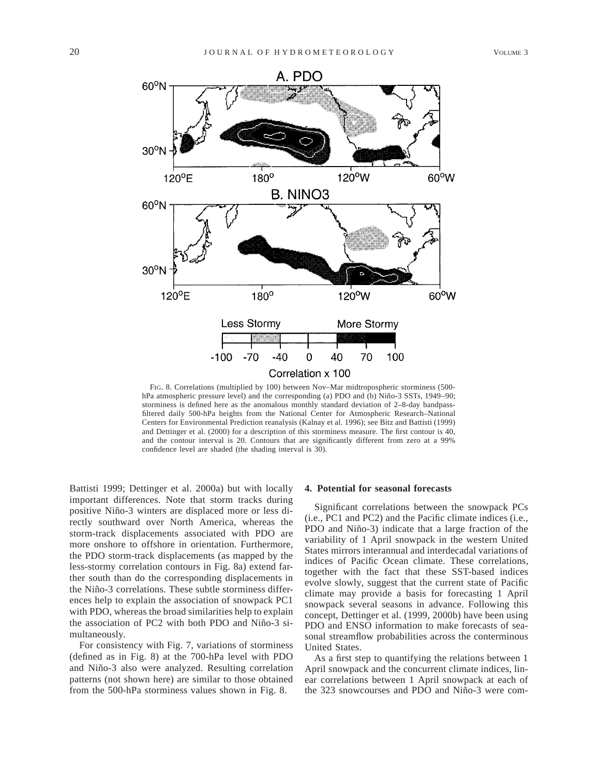

FIG. 8. Correlations (multiplied by 100) between Nov–Mar midtropospheric storminess (500 hPa atmospheric pressure level) and the corresponding (a) PDO and (b) Niño-3 SSTs, 1949–90; storminess is defined here as the anomalous monthly standard deviation of 2–8-day bandpassfiltered daily 500-hPa heights from the National Center for Atmospheric Research–National Centers for Environmental Prediction reanalysis (Kalnay et al. 1996); see Bitz and Battisti (1999) and Dettinger et al. (2000) for a description of this storminess measure. The first contour is 40, and the contour interval is 20. Contours that are significantly different from zero at a 99% confidence level are shaded (the shading interval is 30).

Battisti 1999; Dettinger et al. 2000a) but with locally important differences. Note that storm tracks during positive Niño-3 winters are displaced more or less directly southward over North America, whereas the storm-track displacements associated with PDO are more onshore to offshore in orientation. Furthermore, the PDO storm-track displacements (as mapped by the less-stormy correlation contours in Fig. 8a) extend farther south than do the corresponding displacements in the Niño-3 correlations. These subtle storminess differences help to explain the association of snowpack PC1 with PDO, whereas the broad similarities help to explain the association of PC2 with both PDO and Niño-3 simultaneously.

For consistency with Fig. 7, variations of storminess (defined as in Fig. 8) at the 700-hPa level with PDO and Niño-3 also were analyzed. Resulting correlation patterns (not shown here) are similar to those obtained from the 500-hPa storminess values shown in Fig. 8.

### **4. Potential for seasonal forecasts**

Significant correlations between the snowpack PCs (i.e., PC1 and PC2) and the Pacific climate indices (i.e., PDO and Niño-3) indicate that a large fraction of the variability of 1 April snowpack in the western United States mirrors interannual and interdecadal variations of indices of Pacific Ocean climate. These correlations, together with the fact that these SST-based indices evolve slowly, suggest that the current state of Pacific climate may provide a basis for forecasting 1 April snowpack several seasons in advance. Following this concept, Dettinger et al. (1999, 2000b) have been using PDO and ENSO information to make forecasts of seasonal streamflow probabilities across the conterminous United States.

As a first step to quantifying the relations between 1 April snowpack and the concurrent climate indices, linear correlations between 1 April snowpack at each of the 323 snowcourses and PDO and Niño-3 were com-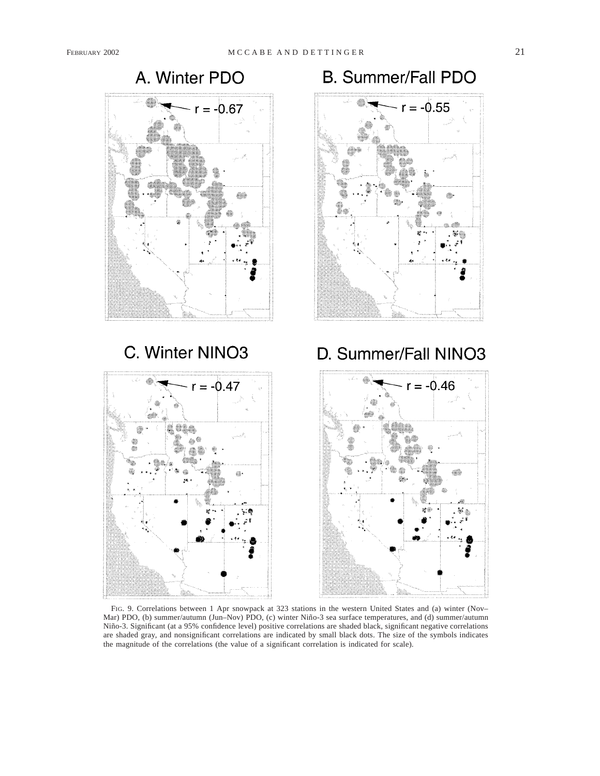





**B. Summer/Fall PDO** 

FIG. 9. Correlations between 1 Apr snowpack at 323 stations in the western United States and (a) winter (Nov– Mar) PDO, (b) summer/autumn (Jun–Nov) PDO, (c) winter Niño-3 sea surface temperatures, and (d) summer/autumn Niño-3. Significant (at a 95% confidence level) positive correlations are shaded black, significant negative correlations are shaded gray, and nonsignificant correlations are indicated by small black dots. The size of the symbols indicates the magnitude of the correlations (the value of a significant correlation is indicated for scale).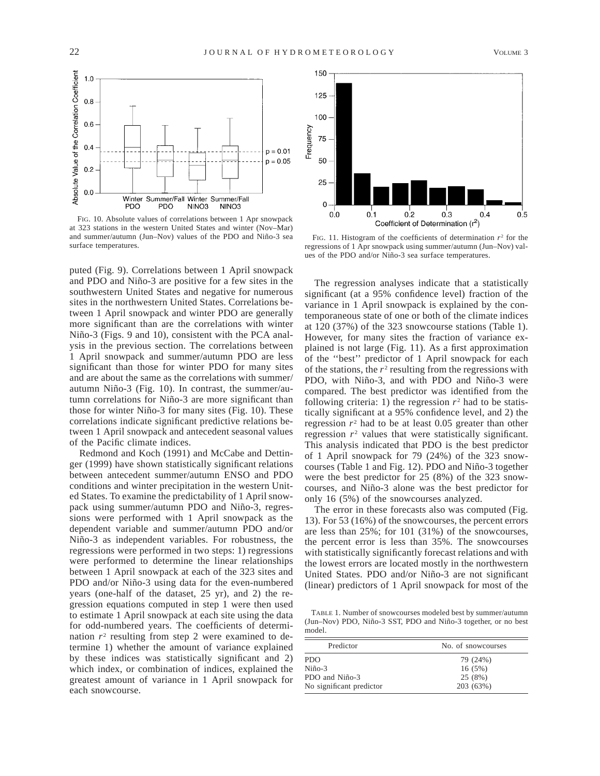

FIG. 10. Absolute values of correlations between 1 Apr snowpack at 323 stations in the western United States and winter (Nov–Mar) and summer/autumn (Jun–Nov) values of the PDO and Niño-3 sea surface temperatures.

puted (Fig. 9). Correlations between 1 April snowpack and PDO and Niño-3 are positive for a few sites in the southwestern United States and negative for numerous sites in the northwestern United States. Correlations between 1 April snowpack and winter PDO are generally more significant than are the correlations with winter Niño-3 (Figs. 9 and 10), consistent with the PCA analysis in the previous section. The correlations between 1 April snowpack and summer/autumn PDO are less significant than those for winter PDO for many sites and are about the same as the correlations with summer/ autumn Niño-3 (Fig. 10). In contrast, the summer/autumn correlations for Niño-3 are more significant than those for winter Niño-3 for many sites (Fig. 10). These correlations indicate significant predictive relations between 1 April snowpack and antecedent seasonal values of the Pacific climate indices.

Redmond and Koch (1991) and McCabe and Dettinger (1999) have shown statistically significant relations between antecedent summer/autumn ENSO and PDO conditions and winter precipitation in the western United States. To examine the predictability of 1 April snowpack using summer/autumn PDO and Niño-3, regressions were performed with 1 April snowpack as the dependent variable and summer/autumn PDO and/or Niño-3 as independent variables. For robustness, the regressions were performed in two steps: 1) regressions were performed to determine the linear relationships between 1 April snowpack at each of the 323 sites and PDO and/or Niño-3 using data for the even-numbered years (one-half of the dataset, 25 yr), and 2) the regression equations computed in step 1 were then used to estimate 1 April snowpack at each site using the data for odd-numbered years. The coefficients of determination  $r<sup>2</sup>$  resulting from step 2 were examined to determine 1) whether the amount of variance explained by these indices was statistically significant and 2) which index, or combination of indices, explained the greatest amount of variance in 1 April snowpack for each snowcourse.



FIG. 11. Histogram of the coefficients of determination *r*<sup>2</sup> for the regressions of 1 Apr snowpack using summer/autumn (Jun–Nov) values of the PDO and/or Niño-3 sea surface temperatures.

The regression analyses indicate that a statistically significant (at a 95% confidence level) fraction of the variance in 1 April snowpack is explained by the contemporaneous state of one or both of the climate indices at 120 (37%) of the 323 snowcourse stations (Table 1). However, for many sites the fraction of variance explained is not large (Fig. 11). As a first approximation of the ''best'' predictor of 1 April snowpack for each of the stations, the  $r^2$  resulting from the regressions with PDO, with Niño-3, and with PDO and Niño-3 were compared. The best predictor was identified from the following criteria: 1) the regression  $r^2$  had to be statistically significant at a 95% confidence level, and 2) the regression  $r<sup>2</sup>$  had to be at least 0.05 greater than other regression  $r<sup>2</sup>$  values that were statistically significant. This analysis indicated that PDO is the best predictor of 1 April snowpack for 79 (24%) of the 323 snowcourses (Table 1 and Fig. 12). PDO and Niño-3 together were the best predictor for 25 (8%) of the 323 snowcourses, and Niño-3 alone was the best predictor for only 16 (5%) of the snowcourses analyzed.

The error in these forecasts also was computed (Fig. 13). For 53 (16%) of the snowcourses, the percent errors are less than 25%; for 101 (31%) of the snowcourses, the percent error is less than 35%. The snowcourses with statistically significantly forecast relations and with the lowest errors are located mostly in the northwestern United States. PDO and/or Niño-3 are not significant (linear) predictors of 1 April snowpack for most of the

TABLE 1. Number of snowcourses modeled best by summer/autumn (Jun–Nov) PDO, Niño-3 SST, PDO and Niño-3 together, or no best model.

| Predictor                | No. of snowcourses |
|--------------------------|--------------------|
| PDO.                     | 79 (24%)           |
| $Ni\tilde{\text{no-3}}$  | 16(5%)             |
| PDO and Niño-3           | 25 (8%)            |
| No significant predictor | 203 (63%)          |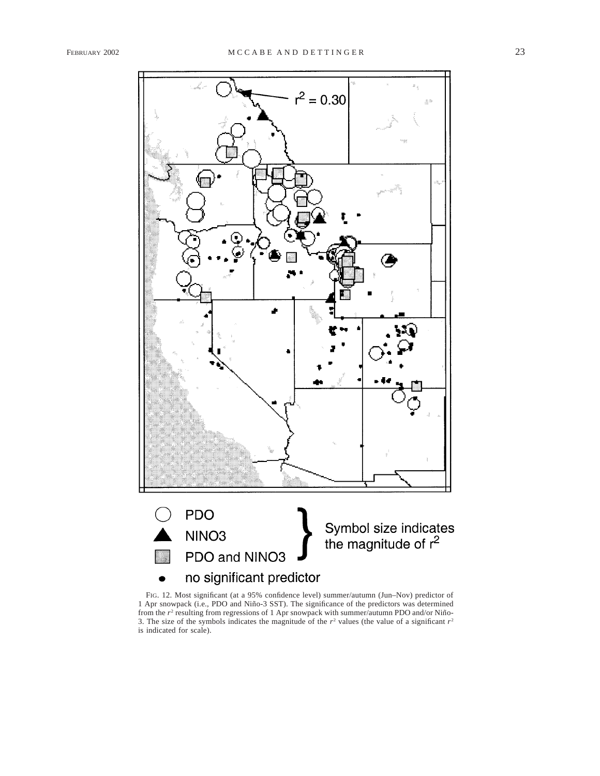

FIG. 12. Most significant (at a 95% confidence level) summer/autumn (Jun–Nov) predictor of 1 Apr snowpack (i.e., PDO and Niño-3 SST). The significance of the predictors was determined from the  $r^2$  resulting from regressions of 1 Apr snowpack with summer/autumn PDO and/or Niño-3. The size of the symbols indicates the magnitude of the  $r^2$  values (the value of a significant  $r^2$ ) is indicated for scale).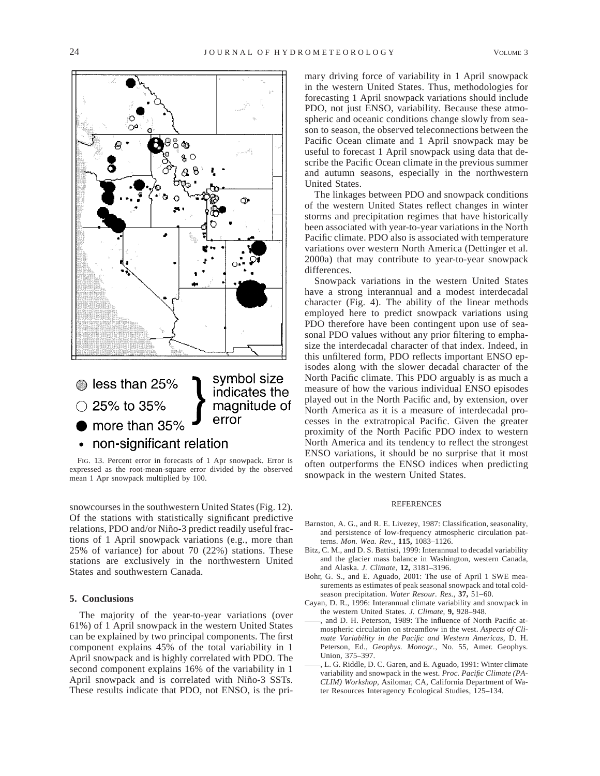

error more than 35%

• non-significant relation

FIG. 13. Percent error in forecasts of 1 Apr snowpack. Error is expressed as the root-mean-square error divided by the observed mean 1 Apr snowpack multiplied by 100.

snowcourses in the southwestern United States (Fig. 12). Of the stations with statistically significant predictive relations, PDO and/or Niño-3 predict readily useful fractions of 1 April snowpack variations (e.g., more than 25% of variance) for about 70 (22%) stations. These stations are exclusively in the northwestern United States and southwestern Canada.

# **5. Conclusions**

The majority of the year-to-year variations (over 61%) of 1 April snowpack in the western United States can be explained by two principal components. The first component explains 45% of the total variability in 1 April snowpack and is highly correlated with PDO. The second component explains 16% of the variability in 1 April snowpack and is correlated with Niño-3 SSTs. These results indicate that PDO, not ENSO, is the primary driving force of variability in 1 April snowpack in the western United States. Thus, methodologies for forecasting 1 April snowpack variations should include PDO, not just ENSO, variability. Because these atmospheric and oceanic conditions change slowly from season to season, the observed teleconnections between the Pacific Ocean climate and 1 April snowpack may be useful to forecast 1 April snowpack using data that describe the Pacific Ocean climate in the previous summer and autumn seasons, especially in the northwestern United States.

The linkages between PDO and snowpack conditions of the western United States reflect changes in winter storms and precipitation regimes that have historically been associated with year-to-year variations in the North Pacific climate. PDO also is associated with temperature variations over western North America (Dettinger et al. 2000a) that may contribute to year-to-year snowpack differences.

Snowpack variations in the western United States have a strong interannual and a modest interdecadal character (Fig. 4). The ability of the linear methods employed here to predict snowpack variations using PDO therefore have been contingent upon use of seasonal PDO values without any prior filtering to emphasize the interdecadal character of that index. Indeed, in this unfiltered form, PDO reflects important ENSO episodes along with the slower decadal character of the North Pacific climate. This PDO arguably is as much a measure of how the various individual ENSO episodes played out in the North Pacific and, by extension, over North America as it is a measure of interdecadal processes in the extratropical Pacific. Given the greater proximity of the North Pacific PDO index to western North America and its tendency to reflect the strongest ENSO variations, it should be no surprise that it most often outperforms the ENSO indices when predicting snowpack in the western United States.

### REFERENCES

- Barnston, A. G., and R. E. Livezey, 1987: Classification, seasonality, and persistence of low-frequency atmospheric circulation patterns. *Mon. Wea. Rev.,* **115,** 1083–1126.
- Bitz, C. M., and D. S. Battisti, 1999: Interannual to decadal variability and the glacier mass balance in Washington, western Canada, and Alaska. *J. Climate,* **12,** 3181–3196.
- Bohr, G. S., and E. Aguado, 2001: The use of April 1 SWE measurements as estimates of peak seasonal snowpack and total coldseason precipitation. *Water Resour. Res.,* **37,** 51–60.
- Cayan, D. R., 1996: Interannual climate variability and snowpack in the western United States. *J. Climate,* **9,** 928–948.
- and D. H. Peterson, 1989: The influence of North Pacific atmospheric circulation on streamflow in the west. *Aspects of Climate Variability in the Pacific and Western Americas,* D. H. Peterson, Ed., *Geophys. Monogr.*, No. 55, Amer. Geophys. Union, 375–397.
- ——, L. G. Riddle, D. C. Garen, and E. Aguado, 1991: Winter climate variability and snowpack in the west. *Proc. Pacific Climate (PA-CLIM) Workshop,* Asilomar, CA, California Department of Water Resources Interagency Ecological Studies, 125–134.